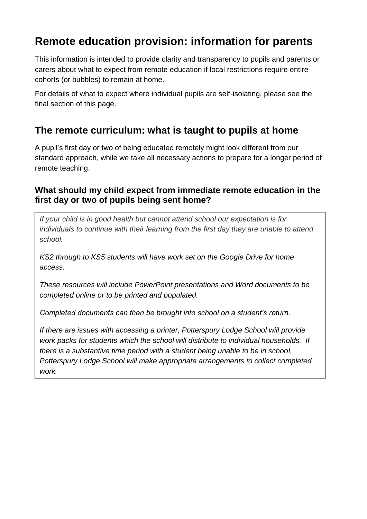# **Remote education provision: information for parents**

This information is intended to provide clarity and transparency to pupils and parents or carers about what to expect from remote education if local restrictions require entire cohorts (or bubbles) to remain at home.

For details of what to expect where individual pupils are self-isolating, please see the final section of this page.

## **The remote curriculum: what is taught to pupils at home**

A pupil's first day or two of being educated remotely might look different from our standard approach, while we take all necessary actions to prepare for a longer period of remote teaching.

### **What should my child expect from immediate remote education in the first day or two of pupils being sent home?**

*If your child is in good health but cannot attend school our expectation is for individuals to continue with their learning from the first day they are unable to attend school.* 

*KS2 through to KS5 students will have work set on the Google Drive for home access.*

*These resources will include PowerPoint presentations and Word documents to be completed online or to be printed and populated.* 

*Completed documents can then be brought into school on a student's return.*

*If there are issues with accessing a printer, Potterspury Lodge School will provide work packs for students which the school will distribute to individual households. If there is a substantive time period with a student being unable to be in school, Potterspury Lodge School will make appropriate arrangements to collect completed work.*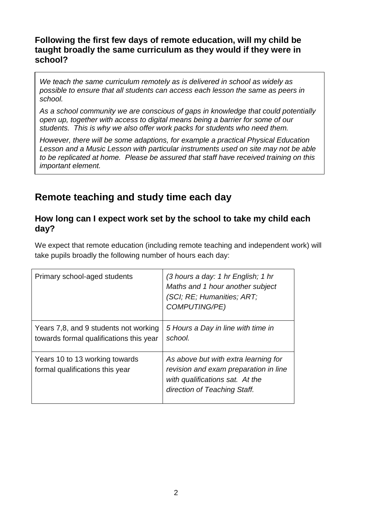#### **Following the first few days of remote education, will my child be taught broadly the same curriculum as they would if they were in school?**

*We teach the same curriculum remotely as is delivered in school as widely as possible to ensure that all students can access each lesson the same as peers in school.*

*As a school community we are conscious of gaps in knowledge that could potentially open up, together with access to digital means being a barrier for some of our students. This is why we also offer work packs for students who need them.* 

*However, there will be some adaptions, for example a practical Physical Education Lesson and a Music Lesson with particular instruments used on site may not be able to be replicated at home. Please be assured that staff have received training on this important element.*

## **Remote teaching and study time each day**

#### **How long can I expect work set by the school to take my child each day?**

We expect that remote education (including remote teaching and independent work) will take pupils broadly the following number of hours each day:

| Primary school-aged students                                                     | (3 hours a day: 1 hr English; 1 hr<br>Maths and 1 hour another subject<br>(SCI; RE; Humanities; ART;<br><b>COMPUTING/PE)</b>                     |
|----------------------------------------------------------------------------------|--------------------------------------------------------------------------------------------------------------------------------------------------|
| Years 7,8, and 9 students not working<br>towards formal qualifications this year | 5 Hours a Day in line with time in<br>school.                                                                                                    |
| Years 10 to 13 working towards<br>formal qualifications this year                | As above but with extra learning for<br>revision and exam preparation in line<br>with qualifications sat. At the<br>direction of Teaching Staff. |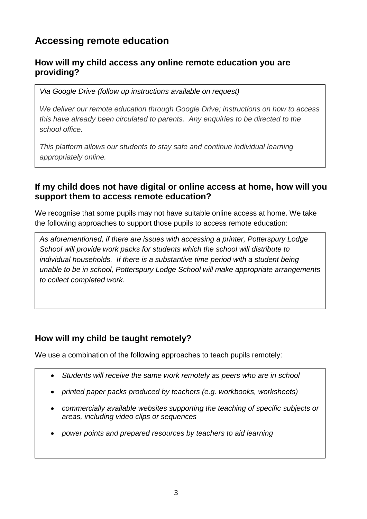# **Accessing remote education**

### **How will my child access any online remote education you are providing?**

*Via Google Drive (follow up instructions available on request)* 

*We deliver our remote education through Google Drive; instructions on how to access this have already been circulated to parents. Any enquiries to be directed to the school office.* 

*This platform allows our students to stay safe and continue individual learning appropriately online.*

### **If my child does not have digital or online access at home, how will you support them to access remote education?**

We recognise that some pupils may not have suitable online access at home. We take the following approaches to support those pupils to access remote education:

*As aforementioned, if there are issues with accessing a printer, Potterspury Lodge School will provide work packs for students which the school will distribute to individual households.* If there is a substantive time period with a student being *unable to be in school, Potterspury Lodge School will make appropriate arrangements to collect completed work.* 

### **How will my child be taught remotely?**

We use a combination of the following approaches to teach pupils remotely:

- *Students will receive the same work remotely as peers who are in school*
- *printed paper packs produced by teachers (e.g. workbooks, worksheets)*
- commercially available websites supporting the teaching of specific subjects or *areas, including video clips or sequences*
- *power points and prepared resources by teachers to aid learning*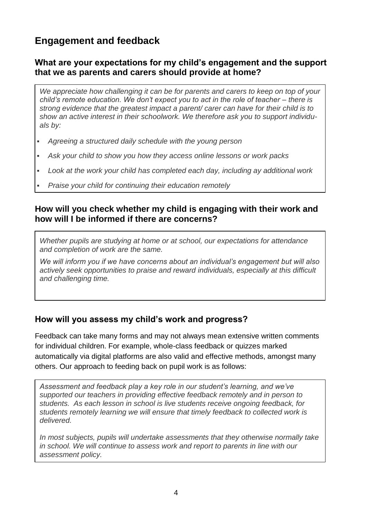# **Engagement and feedback**

### **What are your expectations for my child's engagement and the support that we as parents and carers should provide at home?**

*We appreciate how challenging it can be for parents and carers to keep on top of your child's remote education. We don't expect you to act in the role of teacher – there is strong evidence that the greatest impact a parent/ carer can have for their child is to show an active interest in their schoolwork. We therefore ask you to support individuals by:*

- *Agreeing a structured daily schedule with the young person*
- *Ask your child to show you how they access online lessons or work packs*
- *Look at the work your child has completed each day, including ay additional work*
- *Praise your child for continuing their education remotely*

#### **How will you check whether my child is engaging with their work and how will I be informed if there are concerns?**

*Whether pupils are studying at home or at school, our expectations for attendance and completion of work are the same.*

*We will inform you if we have concerns about an individual's engagement but will also actively seek opportunities to praise and reward individuals, especially at this difficult and challenging time.* 

### **How will you assess my child's work and progress?**

Feedback can take many forms and may not always mean extensive written comments for individual children. For example, whole-class feedback or quizzes marked automatically via digital platforms are also valid and effective methods, amongst many others. Our approach to feeding back on pupil work is as follows:

*Assessment and feedback play a key role in our student's learning, and we've supported our teachers in providing effective feedback remotely and in person to students. As each lesson in school is live students receive ongoing feedback, for students remotely learning we will ensure that timely feedback to collected work is delivered.* 

*In most subjects, pupils will undertake assessments that they otherwise normally take in school. We will continue to assess work and report to parents in line with our assessment policy.*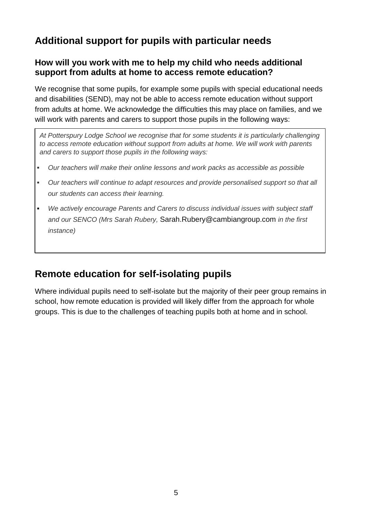# **Additional support for pupils with particular needs**

### **How will you work with me to help my child who needs additional support from adults at home to access remote education?**

We recognise that some pupils, for example some pupils with special educational needs and disabilities (SEND), may not be able to access remote education without support from adults at home. We acknowledge the difficulties this may place on families, and we will work with parents and carers to support those pupils in the following ways:

*At Potterspury Lodge School we recognise that for some students it is particularly challenging to access remote education without support from adults at home. We will work with parents and carers to support those pupils in the following ways:*

- *Our teachers will make their online lessons and work packs as accessible as possible*
- *Our teachers will continue to adapt resources and provide personalised support so that all our students can access their learning.*
- *We actively encourage Parents and Carers to discuss individual issues with subject staff and our SENCO (Mrs Sarah Rubery,* [Sarah.Rubery@cambiangroup.com](mailto:Sarah.Rubery@cambiangroup.com) *in the first instance)*

### **Remote education for self-isolating pupils**

Where individual pupils need to self-isolate but the majority of their peer group remains in school, how remote education is provided will likely differ from the approach for whole groups. This is due to the challenges of teaching pupils both at home and in school.